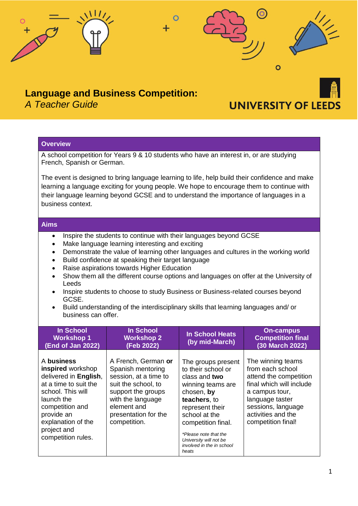

*A Teacher Guide*

# **UNIVERSITY OF LEED**

## **Overview**

A school competition for Years 9 & 10 students who have an interest in, or are studying French, Spanish or German.

The event is designed to bring language learning to life, help build their confidence and make learning a language exciting for young people. We hope to encourage them to continue with their language learning beyond GCSE and to understand the importance of languages in a business context.

#### **Aims**

- Inspire the students to continue with their languages beyond GCSE
- Make language learning interesting and exciting
- Demonstrate the value of learning other languages and cultures in the working world
- Build confidence at speaking their target language
- Raise aspirations towards Higher Education
- Show them all the different course options and languages on offer at the University of Leeds
- Inspire students to choose to study Business or Business-related courses beyond GCSE.
- Build understanding of the interdisciplinary skills that learning languages and/ or business can offer.

| In School<br><b>Workshop 1</b><br>(End of Jan 2022)                                                                                                                                                              | <b>In School</b><br><b>Workshop 2</b><br>(Feb 2022)                                                                                                                                        | <b>In School Heats</b><br>(by mid-March)                                                                                                                                                                                                                        | <b>On-campus</b><br><b>Competition final</b><br>(30 March 2022)                                                                                                                                    |
|------------------------------------------------------------------------------------------------------------------------------------------------------------------------------------------------------------------|--------------------------------------------------------------------------------------------------------------------------------------------------------------------------------------------|-----------------------------------------------------------------------------------------------------------------------------------------------------------------------------------------------------------------------------------------------------------------|----------------------------------------------------------------------------------------------------------------------------------------------------------------------------------------------------|
| A business<br>inspired workshop<br>delivered in English,<br>at a time to suit the<br>school. This will<br>launch the<br>competition and<br>provide an<br>explanation of the<br>project and<br>competition rules. | A French, German or<br>Spanish mentoring<br>session, at a time to<br>suit the school, to<br>support the groups<br>with the language<br>element and<br>presentation for the<br>competition. | The groups present<br>to their school or<br>class and two<br>winning teams are<br>chosen, by<br>teachers, to<br>represent their<br>school at the<br>competition final.<br>*Please note that the<br>University will not be<br>involved in the in school<br>heats | The winning teams<br>from each school<br>attend the competition<br>final which will include<br>a campus tour,<br>language taster<br>sessions, language<br>activities and the<br>competition final! |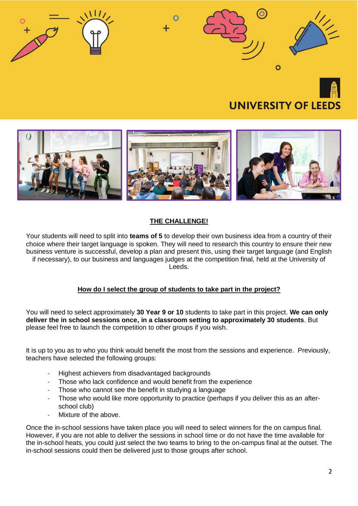



# **THE CHALLENGE!**

Your students will need to split into **teams of 5** to develop their own business idea from a country of their choice where their target language is spoken. They will need to research this country to ensure their new business venture is successful, develop a plan and present this, using their target language (and English if necessary), to our business and languages judges at the competition final, held at the University of Leeds.

# **How do I select the group of students to take part in the project?**

You will need to select approximately **30 Year 9 or 10** students to take part in this project. **We can only deliver the in school sessions once, in a classroom setting to approximately 30 students**. But please feel free to launch the competition to other groups if you wish.

It is up to you as to who you think would benefit the most from the sessions and experience. Previously, teachers have selected the following groups:

- Highest achievers from disadvantaged backgrounds
- Those who lack confidence and would benefit from the experience
- Those who cannot see the benefit in studying a language
- Those who would like more opportunity to practice (perhaps if you deliver this as an afterschool club)
- Mixture of the above.

Once the in-school sessions have taken place you will need to select winners for the on campus final. However, if you are not able to deliver the sessions in school time or do not have the time available for the in-school heats, you could just select the two teams to bring to the on-campus final at the outset. The in-school sessions could then be delivered just to those groups after school.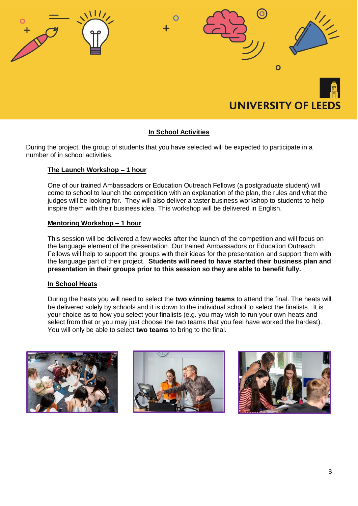

## **In School Activities**

During the project, the group of students that you have selected will be expected to participate in a number of in school activities.

#### **The Launch Workshop – 1 hour**

One of our trained Ambassadors or Education Outreach Fellows (a postgraduate student) will come to school to launch the competition with an explanation of the plan, the rules and what the judges will be looking for. They will also deliver a taster business workshop to students to help inspire them with their business idea. This workshop will be delivered in English.

#### **Mentoring Workshop – 1 hour**

This session will be delivered a few weeks after the launch of the competition and will focus on the language element of the presentation. Our trained Ambassadors or Education Outreach Fellows will help to support the groups with their ideas for the presentation and support them with the language part of their project. **Students will need to have started their business plan and presentation in their groups prior to this session so they are able to benefit fully.**

#### **In School Heats**

During the heats you will need to select the **two winning teams** to attend the final. The heats will be delivered solely by schools and it is down to the individual school to select the finalists. It is your choice as to how you select your finalists (e.g. you may wish to run your own heats and select from that or you may just choose the two teams that you feel have worked the hardest). You will only be able to select **two teams** to bring to the final.





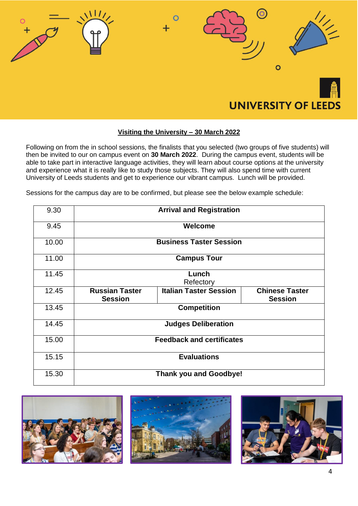

## **Visiting the University – 30 March 2022**

Following on from the in school sessions, the finalists that you selected (two groups of five students) will then be invited to our on campus event on **30 March 2022**. During the campus event, students will be able to take part in interactive language activities, they will learn about course options at the university and experience what it is really like to study those subjects. They will also spend time with current University of Leeds students and get to experience our vibrant campus. Lunch will be provided.

Sessions for the campus day are to be confirmed, but please see the below example schedule:

| 9.30  |                                         | <b>Arrival and Registration</b> |                                         |  |
|-------|-----------------------------------------|---------------------------------|-----------------------------------------|--|
| 9.45  | Welcome                                 |                                 |                                         |  |
| 10.00 | <b>Business Taster Session</b>          |                                 |                                         |  |
| 11.00 | <b>Campus Tour</b>                      |                                 |                                         |  |
| 11.45 | Lunch<br>Refectory                      |                                 |                                         |  |
| 12.45 | <b>Russian Taster</b><br><b>Session</b> | <b>Italian Taster Session</b>   | <b>Chinese Taster</b><br><b>Session</b> |  |
| 13.45 | <b>Competition</b>                      |                                 |                                         |  |
| 14.45 | <b>Judges Deliberation</b>              |                                 |                                         |  |
| 15.00 | <b>Feedback and certificates</b>        |                                 |                                         |  |
| 15.15 | <b>Evaluations</b>                      |                                 |                                         |  |
| 15.30 | <b>Thank you and Goodbye!</b>           |                                 |                                         |  |

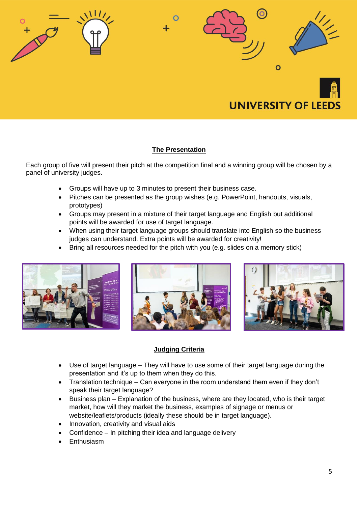

# **The Presentation**

Each group of five will present their pitch at the competition final and a winning group will be chosen by a panel of university judges.

- Groups will have up to 3 minutes to present their business case.
- Pitches can be presented as the group wishes (e.g. PowerPoint, handouts, visuals, prototypes)
- Groups may present in a mixture of their target language and English but additional points will be awarded for use of target language.
- When using their target language groups should translate into English so the business judges can understand. Extra points will be awarded for creativity!
- Bring all resources needed for the pitch with you (e.g. slides on a memory stick)







# **Judging Criteria**

- Use of target language They will have to use some of their target language during the presentation and it's up to them when they do this.
- Translation technique Can everyone in the room understand them even if they don't speak their target language?
- Business plan Explanation of the business, where are they located, who is their target market, how will they market the business, examples of signage or menus or website/leaflets/products (ideally these should be in target language).
- Innovation, creativity and visual aids
- Confidence In pitching their idea and language delivery
- **Enthusiasm**